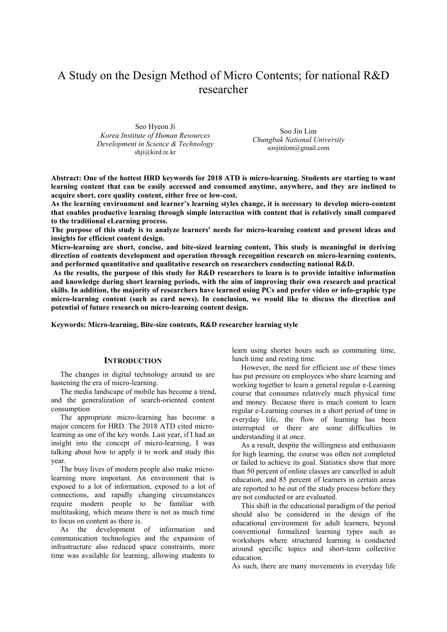# A Study on the Design Method of Micro Contents; for national R&D researcher

Seo Hyeon Ji *Korea Institute of Human Resources Development in Science & Technology*  shji@kird.re.kr

Soo Jin Lim *Chungbuk National University*  soojinlom@gmail.com

**Abstract: One of the hottest HRD keywords for 2018 ATD is micro-learning. Students are starting to want learning content that can be easily accessed and consumed anytime, anywhere, and they are inclined to acquire short, core quality content, either free or low-cost.** 

**As the learning environment and learner's learning styles change, it is necessary to develop micro-content that enables productive learning through simple interaction with content that is relatively small compared to the traditional eLearning process.** 

**The purpose of this study is to analyze learners' needs for micro-learning content and present ideas and insights for efficient content design.** 

**Micro-learning are short, concise, and bite-sized learning content, This study is meaningful in deriving direction of contents development and operation through recognition research on micro-learning contents, and performed quantitative and qualitative research on researchers conducting national R&D.** 

 **As the results, the purpose of this study for R&D researchers to learn is to provide intuitive information and knowledge during short learning periods, with the aim of improving their own research and practical skills. In addition, the majority of researchers have learned using PCs and prefer video or info-graphic type micro-learning content (such as card news). In conclusion, we would like to discuss the direction and potential of future research on micro-learning content design.** 

**Keywords: Micro-learning, Bite-size contents, R&D researcher learning style** 

# **INTRODUCTION**

The changes in digital technology around us are hastening the era of micro-learning.

The media landscape of mobile has become a trend, and the generalization of search-oriented content consumption

The appropriate micro-learning has become a major concern for HRD. The 2018 ATD cited microlearning as one of the key words. Last year, if I had an insight into the concept of micro-learning, I was talking about how to apply it to work and study this year.

The busy lives of modern people also make microlearning more important. An environment that is exposed to a lot of information, exposed to a lot of connections, and rapidly changing circumstances require modern people to be familiar with multitasking, which means there is not as much time to focus on content as there is.

As the development of information and communication technologies and the expansion of infrastructure also reduced space constraints, more time was available for learning, allowing students to learn using shorter hours such as commuting time, lunch time and resting time.

However, the need for efficient use of these times has put pressure on employees who share learning and working together to learn a general regular e-Learning course that consumes relatively much physical time and money. Because there is much content to learn regular e-Learning courses in a short period of time in everyday life, the flow of learning has been interrupted or there are some difficulties in understanding it at once.

As a result, despite the willingness and enthusiasm for high learning, the course was often not completed or failed to achieve its goal. Statistics show that more than 50 percent of online classes are cancelled in adult education, and 85 percent of learners in certain areas are reported to be out of the study process before they are not conducted or are evaluated.

This shift in the educational paradigm of the period should also be considered in the design of the educational environment for adult learners, beyond conventional formalized learning types such as workshops where structured learning is conducted around specific topics and short-term collective education.

As such, there are many movements in everyday life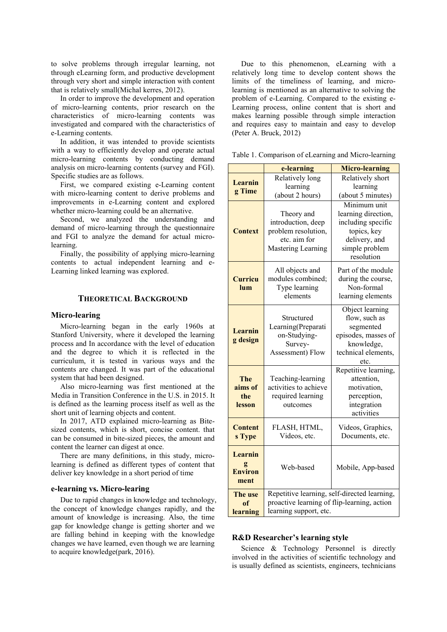to solve problems through irregular learning, not through eLearning form, and productive development through very short and simple interaction with content that is relatively small(Michal kerres, 2012).

In order to improve the development and operation of micro-learning contents, prior research on the characteristics of micro-learning contents was investigated and compared with the characteristics of e-Learning contents.

In addition, it was intended to provide scientists with a way to efficiently develop and operate actual micro-learning contents by conducting demand analysis on micro-learning contents (survey and FGI). Specific studies are as follows.

First, we compared existing e-Learning content with micro-learning content to derive problems and improvements in e-Learning content and explored whether micro-learning could be an alternative.

Second, we analyzed the understanding and demand of micro-learning through the questionnaire and FGI to analyze the demand for actual microlearning.

Finally, the possibility of applying micro-learning contents to actual independent learning and e-Learning linked learning was explored.

## **THEORETICAL BACKGROUND**

#### **Micro-learing**

Micro-learning began in the early 1960s at Stanford University, where it developed the learning process and In accordance with the level of education and the degree to which it is reflected in the curriculum, it is tested in various ways and the contents are changed. It was part of the educational system that had been designed.

Also micro-learning was first mentioned at the Media in Transition Conference in the U.S. in 2015. It is defined as the learning process itself as well as the short unit of learning objects and content.

In 2017, ATD explained micro-learning as Bitesized contents, which is short, concise content. that can be consumed in bite-sized pieces, the amount and content the learner can digest at once.

There are many definitions, in this study, microlearning is defined as different types of content that deliver key knowledge in a short period of time

## **e-learning vs. Micro-learing**

Due to rapid changes in knowledge and technology, the concept of knowledge changes rapidly, and the amount of knowledge is increasing. Also, the time gap for knowledge change is getting shorter and we are falling behind in keeping with the knowledge changes we have learned, even though we are learning to acquire knowledge(park, 2016).

Due to this phenomenon, eLearning with a relatively long time to develop content shows the limits of the timeliness of learning, and microlearning is mentioned as an alternative to solving the problem of e-Learning. Compared to the existing e-Learning process, online content that is short and makes learning possible through simple interaction and requires easy to maintain and easy to develop (Peter A. Bruck, 2012)

Table 1. Comparison of eLearning and Micro-learning

|                                        | e-learning                                                                                                            | <b>Micro-learning</b>                                                                                                     |  |  |
|----------------------------------------|-----------------------------------------------------------------------------------------------------------------------|---------------------------------------------------------------------------------------------------------------------------|--|--|
| Learnin<br>g Time                      | Relatively long<br>learning<br>(about 2 hours)                                                                        | Relatively short<br>learning<br>(about 5 minutes)                                                                         |  |  |
| <b>Context</b>                         | Theory and<br>introduction, deep<br>problem resolution,<br>etc. aim for<br>Mastering Learning                         | Minimum unit<br>learning direction,<br>including specific<br>topics, key<br>delivery, and<br>simple problem<br>resolution |  |  |
| <b>Curricu</b><br>lum                  | All objects and<br>modules combined;<br>Type learning<br>elements                                                     | Part of the module<br>during the course,<br>Non-formal<br>learning elements                                               |  |  |
| Learnin<br>g design                    | Structured<br>Learning(Preparati<br>on-Studying-<br>Survey-<br>Assessment) Flow                                       | Object learning<br>flow, such as<br>segmented<br>episodes, masses of<br>knowledge,<br>technical elements,<br>etc.         |  |  |
| <b>The</b><br>aims of<br>the<br>lesson | Teaching-learning<br>activities to achieve<br>required learning<br>outcomes                                           | Repetitive learning,<br>attention,<br>motivation,<br>perception,<br>integration<br>activities                             |  |  |
| <b>Content</b><br>s Type               | FLASH, HTML,<br>Videos, etc.                                                                                          | Videos, Graphics,<br>Documents, etc.                                                                                      |  |  |
| Learnin<br>g<br><b>Environ</b><br>ment | Web-based                                                                                                             | Mobile, App-based                                                                                                         |  |  |
| The use<br>of<br>learning              | Repetitive learning, self-directed learning,<br>proactive learning of flip-learning, action<br>learning support, etc. |                                                                                                                           |  |  |

## **R&D Researcher's learning style**

Science & Technology Personnel is directly involved in the activities of scientific technology and is usually defined as scientists, engineers, technicians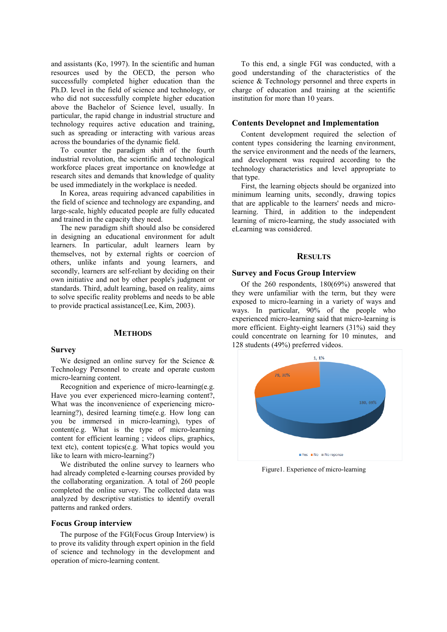and assistants (Ko, 1997). In the scientific and human resources used by the OECD, the person who successfully completed higher education than the Ph.D. level in the field of science and technology, or who did not successfully complete higher education above the Bachelor of Science level, usually. In particular, the rapid change in industrial structure and technology requires active education and training, such as spreading or interacting with various areas across the boundaries of the dynamic field.

To counter the paradigm shift of the fourth industrial revolution, the scientific and technological workforce places great importance on knowledge at research sites and demands that knowledge of quality be used immediately in the workplace is needed.

In Korea, areas requiring advanced capabilities in the field of science and technology are expanding, and large-scale, highly educated people are fully educated and trained in the capacity they need.

The new paradigm shift should also be considered in designing an educational environment for adult learners. In particular, adult learners learn by themselves, not by external rights or coercion of others, unlike infants and young learners, and secondly, learners are self-reliant by deciding on their own initiative and not by other people's judgment or standards. Third, adult learning, based on reality, aims to solve specific reality problems and needs to be able to provide practical assistance(Lee, Kim, 2003).

# **METHODS**

#### **Survey**

# We designed an online survey for the Science & Technology Personnel to create and operate custom micro-learning content.

Recognition and experience of micro-learning(e.g. Have you ever experienced micro-learning content?, What was the inconvenience of experiencing microlearning?), desired learning time(e.g. How long can you be immersed in micro-learning), types of content(e.g. What is the type of micro-learning content for efficient learning ; videos clips, graphics, text etc), content topics(e.g. What topics would you like to learn with micro-learning?)

We distributed the online survey to learners who had already completed e-learning courses provided by the collaborating organization. A total of 260 people completed the online survey. The collected data was analyzed by descriptive statistics to identify overall patterns and ranked orders.

#### **Focus Group interview**

The purpose of the FGI(Focus Group Interview) is to prove its validity through expert opinion in the field of science and technology in the development and operation of micro-learning content.

To this end, a single FGI was conducted, with a good understanding of the characteristics of the science & Technology personnel and three experts in charge of education and training at the scientific institution for more than 10 years.

## **Contents Developnet and Implementation**

Content development required the selection of content types considering the learning environment, the service environment and the needs of the learners, and development was required according to the technology characteristics and level appropriate to that type.

First, the learning objects should be organized into minimum learning units, secondly, drawing topics that are applicable to the learners' needs and microlearning. Third, in addition to the independent learning of micro-learning, the study associated with eLearning was considered.

#### **RESULTS**

#### **Survey and Focus Group Interview**

Of the 260 respondents, 180(69%) answered that they were unfamiliar with the term, but they were exposed to micro-learning in a variety of ways and ways. In particular, 90% of the people who experienced micro-learning said that micro-learning is more efficient. Eighty-eight learners (31%) said they could concentrate on learning for 10 minutes, and 128 students (49%) preferred videos.



Figure1. Experience of micro-learning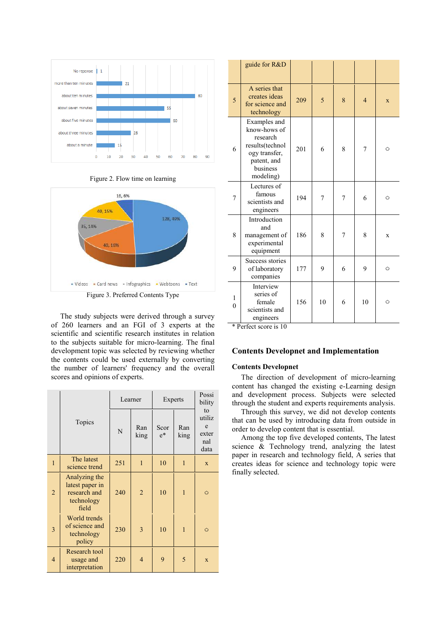

Figure 2. Flow time on learning



The study subjects were derived through a survey of 260 learners and an FGI of 3 experts at the scientific and scientific research institutes in relation to the subjects suitable for micro-learning. The final development topic was selected by reviewing whether the contents could be used externally by converting the number of learners' frequency and the overall scores and opinions of experts.

|                |                                                                         |     | Learner        | Experts       |              | Possi<br>bility                           |
|----------------|-------------------------------------------------------------------------|-----|----------------|---------------|--------------|-------------------------------------------|
|                | Topics                                                                  | N   | Ran<br>king    | Scor<br>$e^*$ | Ran<br>king  | to<br>utiliz<br>e<br>exter<br>nal<br>data |
| $\mathbf{1}$   | The latest<br>science trend                                             | 251 | $\mathbf{1}$   | 10            | $\mathbf{1}$ | X                                         |
| $\overline{2}$ | Analyzing the<br>latest paper in<br>research and<br>technology<br>field | 240 | $\overline{2}$ | 10            | $\mathbf{1}$ | $\circ$                                   |
| 3              | World trends<br>of science and<br>technology<br>policy                  | 230 | 3              | 10            | $\mathbf{1}$ | $\circ$                                   |
| $\overline{4}$ | Research tool<br>usage and<br>interpretation                            | 220 | $\overline{4}$ | 9             | 5            | $\mathbf{x}$                              |

|               | guide for R&D                                                                                                        |     |    |   |                |   |
|---------------|----------------------------------------------------------------------------------------------------------------------|-----|----|---|----------------|---|
| 5             | A series that<br>creates ideas<br>for science and<br>technology                                                      | 209 | 5  | 8 | $\overline{4}$ | X |
| 6             | Examples and<br>know-hows of<br>research<br>results(technol<br>ogy transfer,<br>patent, and<br>business<br>modeling) | 201 | 6  | 8 | 7              | Ó |
| 7             | Lectures of<br>famous<br>scientists and<br>engineers                                                                 | 194 | 7  | 7 | 6              | Ó |
| 8             | Introduction<br>and<br>management of<br>experimental<br>equipment                                                    | 186 | 8  | 7 | 8              | X |
| 9             | Success stories<br>of laboratory<br>companies                                                                        | 177 | 9  | 6 | 9              | Ó |
| 1<br>$\theta$ | Interview<br>series of<br>female<br>scientists and<br>engineers                                                      | 156 | 10 | 6 | 10             | Ó |

\* Perfect score is 10

# **Contents Developnet and Implementation**

## **Contents Developnet**

The direction of development of micro-learning content has changed the existing e-Learning design and development process. Subjects were selected through the student and experts requirements analysis.

Through this survey, we did not develop contents that can be used by introducing data from outside in order to develop content that is essential.

Among the top five developed contents, The latest science & Technology trend, analyzing the latest paper in research and technology field, A series that creates ideas for science and technology topic were finally selected.